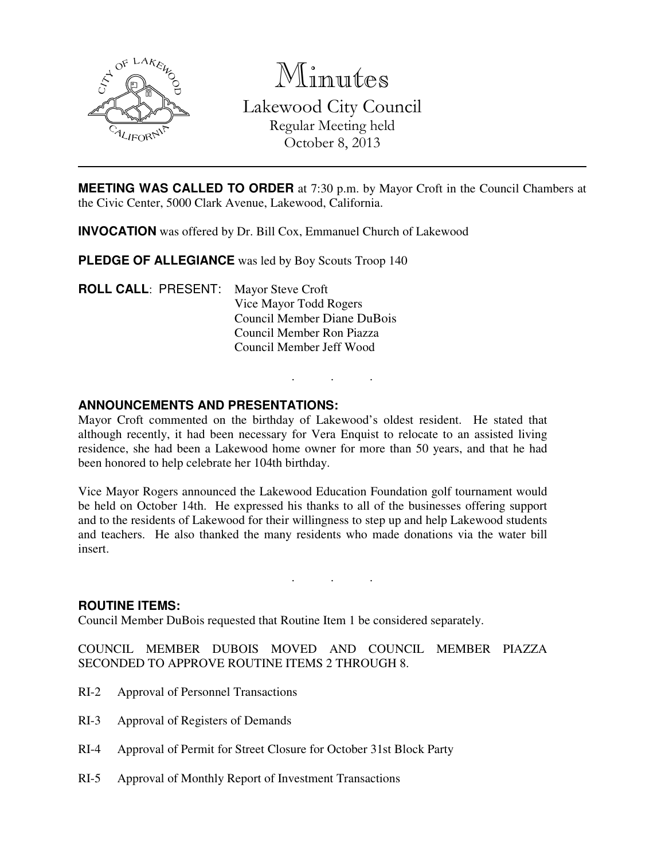

Minutes Lakewood City Council Regular Meeting held October 8, 2013

**MEETING WAS CALLED TO ORDER** at 7:30 p.m. by Mayor Croft in the Council Chambers at the Civic Center, 5000 Clark Avenue, Lakewood, California.

**INVOCATION** was offered by Dr. Bill Cox, Emmanuel Church of Lakewood

**PLEDGE OF ALLEGIANCE** was led by Boy Scouts Troop 140

**ROLL CALL**: PRESENT: Mayor Steve Croft Vice Mayor Todd Rogers Council Member Diane DuBois Council Member Ron Piazza Council Member Jeff Wood

## **ANNOUNCEMENTS AND PRESENTATIONS:**

Mayor Croft commented on the birthday of Lakewood's oldest resident. He stated that although recently, it had been necessary for Vera Enquist to relocate to an assisted living residence, she had been a Lakewood home owner for more than 50 years, and that he had been honored to help celebrate her 104th birthday.

. . .

Vice Mayor Rogers announced the Lakewood Education Foundation golf tournament would be held on October 14th. He expressed his thanks to all of the businesses offering support and to the residents of Lakewood for their willingness to step up and help Lakewood students and teachers. He also thanked the many residents who made donations via the water bill insert.

. . .

#### **ROUTINE ITEMS:**

Council Member DuBois requested that Routine Item 1 be considered separately.

COUNCIL MEMBER DUBOIS MOVED AND COUNCIL MEMBER PIAZZA SECONDED TO APPROVE ROUTINE ITEMS 2 THROUGH 8.

- RI-2 Approval of Personnel Transactions
- RI-3 Approval of Registers of Demands
- RI-4 Approval of Permit for Street Closure for October 31st Block Party
- RI-5 Approval of Monthly Report of Investment Transactions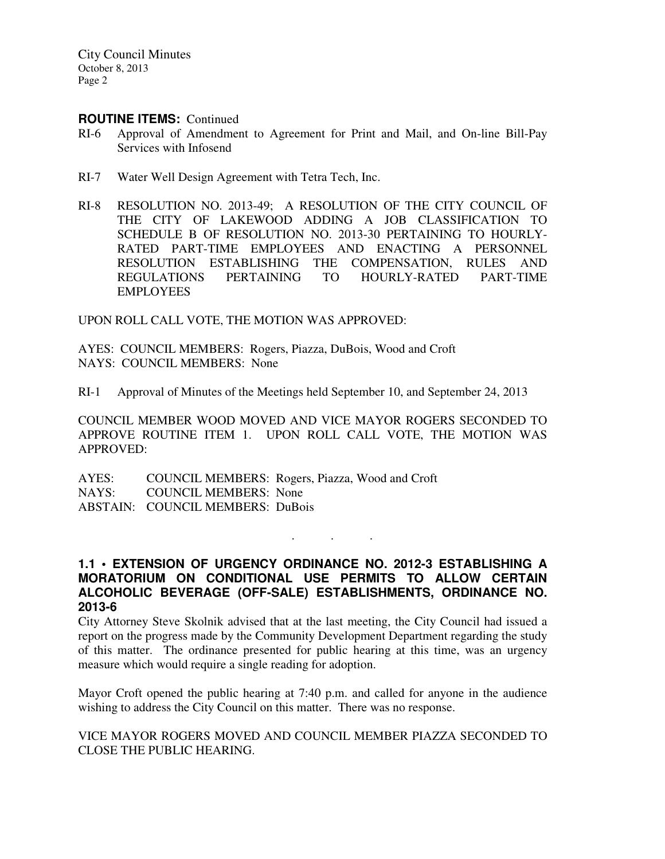City Council Minutes October 8, 2013 Page 2

### **ROUTINE ITEMS:** Continued

- RI-6 Approval of Amendment to Agreement for Print and Mail, and On-line Bill-Pay Services with Infosend
- RI-7 Water Well Design Agreement with Tetra Tech, Inc.
- RI-8 RESOLUTION NO. 2013-49; A RESOLUTION OF THE CITY COUNCIL OF THE CITY OF LAKEWOOD ADDING A JOB CLASSIFICATION TO SCHEDULE B OF RESOLUTION NO. 2013-30 PERTAINING TO HOURLY-RATED PART-TIME EMPLOYEES AND ENACTING A PERSONNEL RESOLUTION ESTABLISHING THE COMPENSATION, RULES AND REGULATIONS PERTAINING TO HOURLY-RATED PART-TIME EMPLOYEES

UPON ROLL CALL VOTE, THE MOTION WAS APPROVED:

AYES: COUNCIL MEMBERS: Rogers, Piazza, DuBois, Wood and Croft NAYS: COUNCIL MEMBERS: None

RI-1 Approval of Minutes of the Meetings held September 10, and September 24, 2013

COUNCIL MEMBER WOOD MOVED AND VICE MAYOR ROGERS SECONDED TO APPROVE ROUTINE ITEM 1. UPON ROLL CALL VOTE, THE MOTION WAS APPROVED:

AYES: COUNCIL MEMBERS: Rogers, Piazza, Wood and Croft NAYS: COUNCIL MEMBERS: None ABSTAIN: COUNCIL MEMBERS: DuBois

## **1.1 • EXTENSION OF URGENCY ORDINANCE NO. 2012-3 ESTABLISHING A MORATORIUM ON CONDITIONAL USE PERMITS TO ALLOW CERTAIN ALCOHOLIC BEVERAGE (OFF-SALE) ESTABLISHMENTS, ORDINANCE NO. 2013-6**

. . .

City Attorney Steve Skolnik advised that at the last meeting, the City Council had issued a report on the progress made by the Community Development Department regarding the study of this matter. The ordinance presented for public hearing at this time, was an urgency measure which would require a single reading for adoption.

Mayor Croft opened the public hearing at 7:40 p.m. and called for anyone in the audience wishing to address the City Council on this matter. There was no response.

VICE MAYOR ROGERS MOVED AND COUNCIL MEMBER PIAZZA SECONDED TO CLOSE THE PUBLIC HEARING.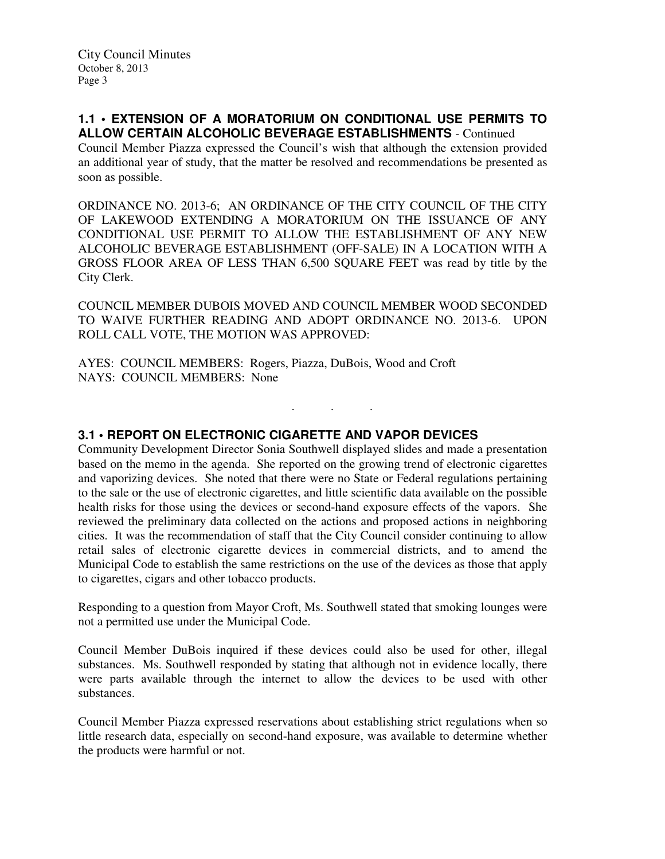### **1.1 • EXTENSION OF A MORATORIUM ON CONDITIONAL USE PERMITS TO ALLOW CERTAIN ALCOHOLIC BEVERAGE ESTABLISHMENTS** - Continued

Council Member Piazza expressed the Council's wish that although the extension provided an additional year of study, that the matter be resolved and recommendations be presented as soon as possible.

ORDINANCE NO. 2013-6; AN ORDINANCE OF THE CITY COUNCIL OF THE CITY OF LAKEWOOD EXTENDING A MORATORIUM ON THE ISSUANCE OF ANY CONDITIONAL USE PERMIT TO ALLOW THE ESTABLISHMENT OF ANY NEW ALCOHOLIC BEVERAGE ESTABLISHMENT (OFF-SALE) IN A LOCATION WITH A GROSS FLOOR AREA OF LESS THAN 6,500 SQUARE FEET was read by title by the City Clerk.

COUNCIL MEMBER DUBOIS MOVED AND COUNCIL MEMBER WOOD SECONDED TO WAIVE FURTHER READING AND ADOPT ORDINANCE NO. 2013-6. UPON ROLL CALL VOTE, THE MOTION WAS APPROVED:

. . .

AYES: COUNCIL MEMBERS: Rogers, Piazza, DuBois, Wood and Croft NAYS: COUNCIL MEMBERS: None

# **3.1 • REPORT ON ELECTRONIC CIGARETTE AND VAPOR DEVICES**

Community Development Director Sonia Southwell displayed slides and made a presentation based on the memo in the agenda. She reported on the growing trend of electronic cigarettes and vaporizing devices. She noted that there were no State or Federal regulations pertaining to the sale or the use of electronic cigarettes, and little scientific data available on the possible health risks for those using the devices or second-hand exposure effects of the vapors. She reviewed the preliminary data collected on the actions and proposed actions in neighboring cities. It was the recommendation of staff that the City Council consider continuing to allow retail sales of electronic cigarette devices in commercial districts, and to amend the Municipal Code to establish the same restrictions on the use of the devices as those that apply to cigarettes, cigars and other tobacco products.

Responding to a question from Mayor Croft, Ms. Southwell stated that smoking lounges were not a permitted use under the Municipal Code.

Council Member DuBois inquired if these devices could also be used for other, illegal substances. Ms. Southwell responded by stating that although not in evidence locally, there were parts available through the internet to allow the devices to be used with other substances.

Council Member Piazza expressed reservations about establishing strict regulations when so little research data, especially on second-hand exposure, was available to determine whether the products were harmful or not.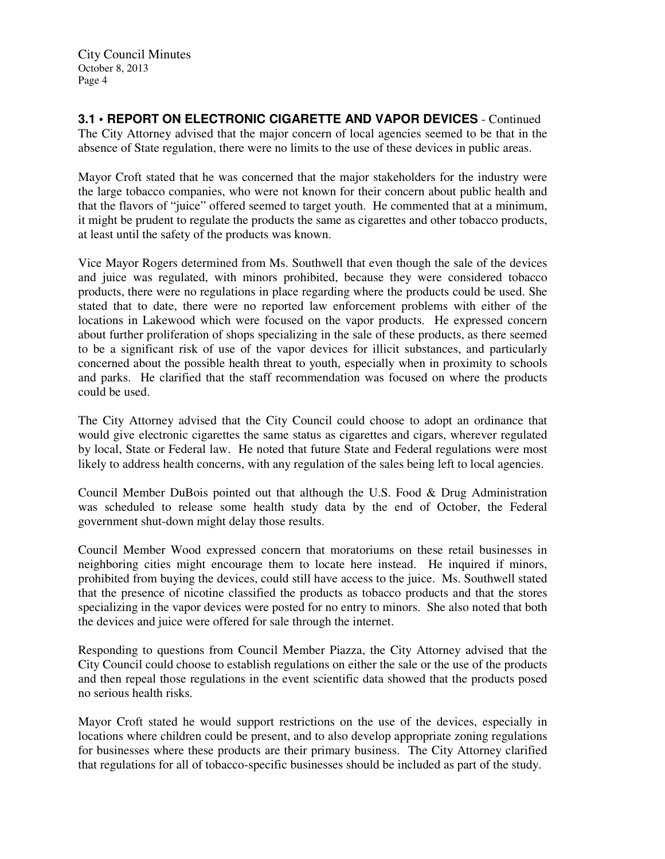**3.1 • REPORT ON ELECTRONIC CIGARETTE AND VAPOR DEVICES** - Continued The City Attorney advised that the major concern of local agencies seemed to be that in the absence of State regulation, there were no limits to the use of these devices in public areas.

Mayor Croft stated that he was concerned that the major stakeholders for the industry were the large tobacco companies, who were not known for their concern about public health and that the flavors of "juice" offered seemed to target youth. He commented that at a minimum, it might be prudent to regulate the products the same as cigarettes and other tobacco products, at least until the safety of the products was known.

Vice Mayor Rogers determined from Ms. Southwell that even though the sale of the devices and juice was regulated, with minors prohibited, because they were considered tobacco products, there were no regulations in place regarding where the products could be used. She stated that to date, there were no reported law enforcement problems with either of the locations in Lakewood which were focused on the vapor products. He expressed concern about further proliferation of shops specializing in the sale of these products, as there seemed to be a significant risk of use of the vapor devices for illicit substances, and particularly concerned about the possible health threat to youth, especially when in proximity to schools and parks. He clarified that the staff recommendation was focused on where the products could be used.

The City Attorney advised that the City Council could choose to adopt an ordinance that would give electronic cigarettes the same status as cigarettes and cigars, wherever regulated by local, State or Federal law. He noted that future State and Federal regulations were most likely to address health concerns, with any regulation of the sales being left to local agencies.

Council Member DuBois pointed out that although the U.S. Food & Drug Administration was scheduled to release some health study data by the end of October, the Federal government shut-down might delay those results.

Council Member Wood expressed concern that moratoriums on these retail businesses in neighboring cities might encourage them to locate here instead. He inquired if minors, prohibited from buying the devices, could still have access to the juice. Ms. Southwell stated that the presence of nicotine classified the products as tobacco products and that the stores specializing in the vapor devices were posted for no entry to minors. She also noted that both the devices and juice were offered for sale through the internet.

Responding to questions from Council Member Piazza, the City Attorney advised that the City Council could choose to establish regulations on either the sale or the use of the products and then repeal those regulations in the event scientific data showed that the products posed no serious health risks.

Mayor Croft stated he would support restrictions on the use of the devices, especially in locations where children could be present, and to also develop appropriate zoning regulations for businesses where these products are their primary business. The City Attorney clarified that regulations for all of tobacco-specific businesses should be included as part of the study.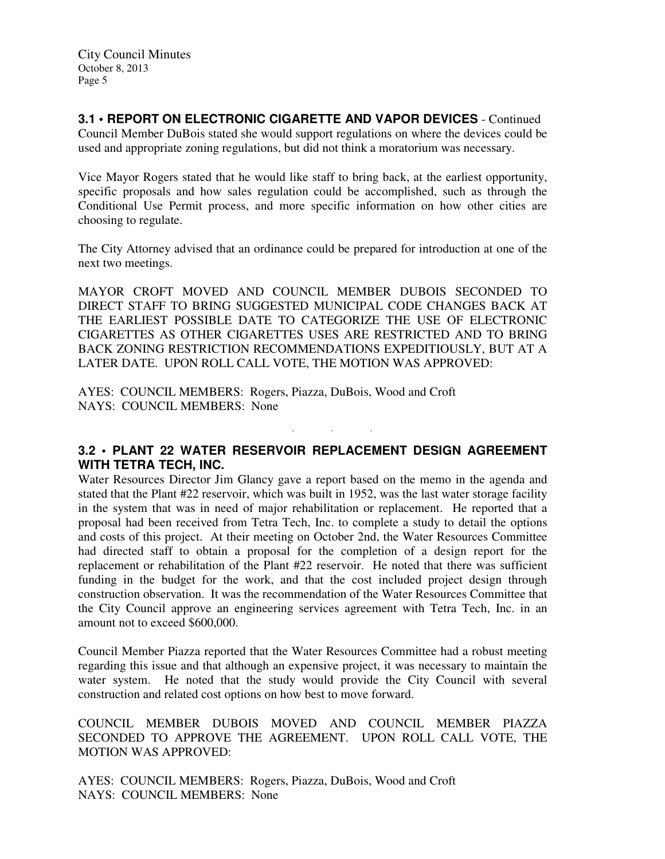## **3.1 • REPORT ON ELECTRONIC CIGARETTE AND VAPOR DEVICES** - Continued

Council Member DuBois stated she would support regulations on where the devices could be used and appropriate zoning regulations, but did not think a moratorium was necessary.

Vice Mayor Rogers stated that he would like staff to bring back, at the earliest opportunity, specific proposals and how sales regulation could be accomplished, such as through the Conditional Use Permit process, and more specific information on how other cities are choosing to regulate.

The City Attorney advised that an ordinance could be prepared for introduction at one of the next two meetings.

MAYOR CROFT MOVED AND COUNCIL MEMBER DUBOIS SECONDED TO DIRECT STAFF TO BRING SUGGESTED MUNICIPAL CODE CHANGES BACK AT THE EARLIEST POSSIBLE DATE TO CATEGORIZE THE USE OF ELECTRONIC CIGARETTES AS OTHER CIGARETTES USES ARE RESTRICTED AND TO BRING BACK ZONING RESTRICTION RECOMMENDATIONS EXPEDITIOUSLY, BUT AT A LATER DATE. UPON ROLL CALL VOTE, THE MOTION WAS APPROVED:

AYES: COUNCIL MEMBERS: Rogers, Piazza, DuBois, Wood and Croft NAYS: COUNCIL MEMBERS: None

## **3.2 • PLANT 22 WATER RESERVOIR REPLACEMENT DESIGN AGREEMENT WITH TETRA TECH, INC.**

. . .

Water Resources Director Jim Glancy gave a report based on the memo in the agenda and stated that the Plant #22 reservoir, which was built in 1952, was the last water storage facility in the system that was in need of major rehabilitation or replacement. He reported that a proposal had been received from Tetra Tech, Inc. to complete a study to detail the options and costs of this project. At their meeting on October 2nd, the Water Resources Committee had directed staff to obtain a proposal for the completion of a design report for the replacement or rehabilitation of the Plant #22 reservoir. He noted that there was sufficient funding in the budget for the work, and that the cost included project design through construction observation. It was the recommendation of the Water Resources Committee that the City Council approve an engineering services agreement with Tetra Tech, Inc. in an amount not to exceed \$600,000.

Council Member Piazza reported that the Water Resources Committee had a robust meeting regarding this issue and that although an expensive project, it was necessary to maintain the water system. He noted that the study would provide the City Council with several construction and related cost options on how best to move forward.

COUNCIL MEMBER DUBOIS MOVED AND COUNCIL MEMBER PIAZZA SECONDED TO APPROVE THE AGREEMENT. UPON ROLL CALL VOTE, THE MOTION WAS APPROVED:

AYES: COUNCIL MEMBERS: Rogers, Piazza, DuBois, Wood and Croft NAYS: COUNCIL MEMBERS: None